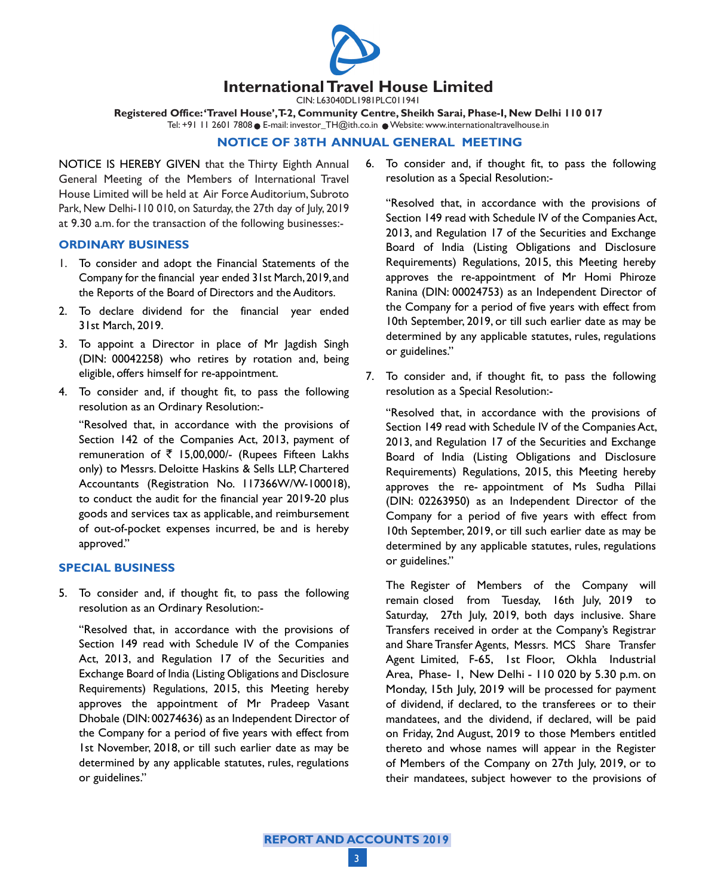

CIN: L63040DL1981PLC011941

**Registered Office: 'Travel House', T-2, Community Centre, Sheikh Sarai, Phase-I, New Delhi 110 017** Tel: +91 11 2601 7808 E-mail: investor\_TH@ith.co.in Website: www.internationaltravelhouse.in

### **NOTICE OF 38th ANNUAL GENERAL MEETING**

NOTICE IS HEREBY GIVEN that the Thirty Eighth Annual General Meeting of the Members of International Travel House Limited will be held at Air Force Auditorium, Subroto Park, New Delhi-110 010, on Saturday, the 27th day of July, 2019 at 9.30 a.m. for the transaction of the following businesses:-

### **ORDINARY BUSINESS**

- 1. To consider and adopt the Financial Statements of the Company for the financial year ended 31st March, 2019, and the Reports of the Board of Directors and the Auditors.
- 2. To declare dividend for the financial year ended 31st March, 2019.
- 3. To appoint a Director in place of Mr Jagdish Singh (DIN: 00042258) who retires by rotation and, being eligible, offers himself for re-appointment.
- 4. To consider and, if thought fit, to pass the following resolution as an Ordinary Resolution:-

"Resolved that, in accordance with the provisions of Section 142 of the Companies Act, 2013, payment of remuneration of  $\overline{5}$  15,00,000/- (Rupees Fifteen Lakhs only) to Messrs. Deloitte Haskins & Sells LLP, Chartered Accountants (Registration No. 117366W/W-100018), to conduct the audit for the financial year 2019-20 plus goods and services tax as applicable, and reimbursement of out-of-pocket expenses incurred, be and is hereby approved."

### **SPECIAL BUSINESS**

5. To consider and, if thought fit, to pass the following resolution as an Ordinary Resolution:-

"Resolved that, in accordance with the provisions of Section 149 read with Schedule IV of the Companies Act, 2013, and Regulation 17 of the Securities and Exchange Board of India (Listing Obligations and Disclosure Requirements) Regulations, 2015, this Meeting hereby approves the appointment of Mr Pradeep Vasant Dhobale (DIN: 00274636) as an Independent Director of the Company for a period of five years with effect from 1st November, 2018, or till such earlier date as may be determined by any applicable statutes, rules, regulations or guidelines."

6. To consider and, if thought fit, to pass the following resolution as a Special Resolution:-

"Resolved that, in accordance with the provisions of Section 149 read with Schedule IV of the Companies Act, 2013, and Regulation 17 of the Securities and Exchange Board of India (Listing Obligations and Disclosure Requirements) Regulations, 2015, this Meeting hereby approves the re-appointment of Mr Homi Phiroze Ranina (DIN: 00024753) as an Independent Director of the Company for a period of five years with effect from 10th September, 2019, or till such earlier date as may be determined by any applicable statutes, rules, regulations or guidelines."

7. To consider and, if thought fit, to pass the following resolution as a Special Resolution:-

"Resolved that, in accordance with the provisions of Section 149 read with Schedule IV of the Companies Act, 2013, and Regulation 17 of the Securities and Exchange Board of India (Listing Obligations and Disclosure Requirements) Regulations, 2015, this Meeting hereby approves the re- appointment of Ms Sudha Pillai (DIN: 02263950) as an Independent Director of the Company for a period of five years with effect from 10th September, 2019, or till such earlier date as may be determined by any applicable statutes, rules, regulations or guidelines."

 The Register of Members of the Company will remain closed from Tuesday, 16th July, 2019 to Saturday, 27th July, 2019, both days inclusive. Share Transfers received in order at the Company's Registrar and Share Transfer Agents, Messrs. MCS Share Transfer Agent Limited, F-65, 1st Floor, Okhla Industrial Area, Phase- 1, New Delhi - 110 020 by 5.30 p.m. on Monday, 15th July, 2019 will be processed for payment of dividend, if declared, to the transferees or to their mandatees, and the dividend, if declared, will be paid on Friday, 2nd August, 2019 to those Members entitled thereto and whose names will appear in the Register of Members of the Company on 27th July, 2019, or to their mandatees, subject however to the provisions of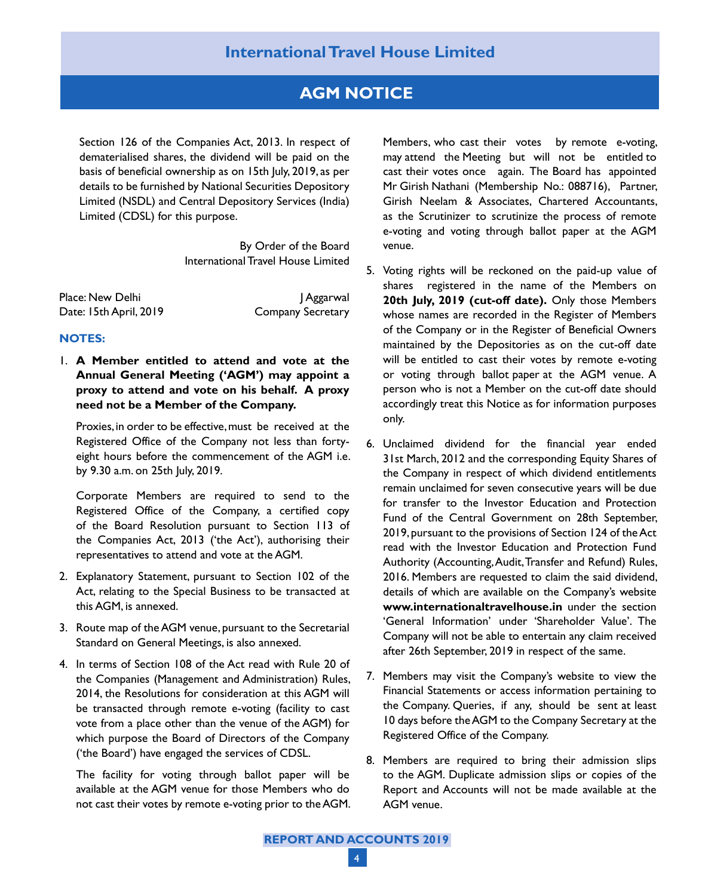### **International Travel House Limited**

### **AGM NOTICE**

Section 126 of the Companies Act, 2013. In respect of dematerialised shares, the dividend will be paid on the basis of beneficial ownership as on 15th July, 2019, as per details to be furnished by National Securities Depository Limited (NSDL) and Central Depository Services (India) Limited (CDSL) for this purpose.

> By Order of the Board International Travel House Limited

Place: New Delhi J Aggarwal Date: 15th April, 2019 Company Secretary

### **NOTES:**

1. **A Member entitled to attend and vote at the Annual General Meeting ('AGM') may appoint a proxy to attend and vote on his behalf. A proxy need not be a Member of the Company.**

Proxies, in order to be effective, must be received at the Registered Office of the Company not less than fortyeight hours before the commencement of the AGM i.e. by 9.30 a.m. on 25th July, 2019.

 Corporate Members are required to send to the Registered Office of the Company, a certified copy of the Board Resolution pursuant to Section 113 of the Companies Act, 2013 ('the Act'), authorising their representatives to attend and vote at the AGM.

- 2. Explanatory Statement, pursuant to Section 102 of the Act, relating to the Special Business to be transacted at this AGM, is annexed.
- 3. Route map of the AGM venue, pursuant to the Secretarial Standard on General Meetings, is also annexed.
- 4. In terms of Section 108 of the Act read with Rule 20 of the Companies (Management and Administration) Rules, 2014, the Resolutions for consideration at this AGM will be transacted through remote e-voting (facility to cast vote from a place other than the venue of the AGM) for which purpose the Board of Directors of the Company ('the Board') have engaged the services of CDSL.

 The facility for voting through ballot paper will be available at the AGM venue for those Members who do not cast their votes by remote e-voting prior to the AGM. Members, who cast their votes by remote e-voting, may attend the Meeting but will not be entitled to cast their votes once again. The Board has appointed Mr Girish Nathani (Membership No.: 088716), Partner, Girish Neelam & Associates, Chartered Accountants, as the Scrutinizer to scrutinize the process of remote e-voting and voting through ballot paper at the AGM venue.

- 5. Voting rights will be reckoned on the paid-up value of shares registered in the name of the Members on **20th July, 2019 (cut-off date).** Only those Members whose names are recorded in the Register of Members of the Company or in the Register of Beneficial Owners maintained by the Depositories as on the cut-off date will be entitled to cast their votes by remote e-voting or voting through ballot paper at the AGM venue. A person who is not a Member on the cut-off date should accordingly treat this Notice as for information purposes only.
- 6. Unclaimed dividend for the financial year ended 31st March, 2012 and the corresponding Equity Shares of the Company in respect of which dividend entitlements remain unclaimed for seven consecutive years will be due for transfer to the Investor Education and Protection Fund of the Central Government on 28th September, 2019, pursuant to the provisions of Section 124 of the Act read with the Investor Education and Protection Fund Authority (Accounting, Audit, Transfer and Refund) Rules, 2016. Members are requested to claim the said dividend, details of which are available on the Company's website **www.internationaltravelhouse.in** under the section 'General Information' under 'Shareholder Value'. The Company will not be able to entertain any claim received after 26th September, 2019 in respect of the same.
- 7. Members may visit the Company's website to view the Financial Statements or access information pertaining to the Company. Queries, if any, should be sent at least 10 days before the AGM to the Company Secretary at the Registered Office of the Company.
- 8. Members are required to bring their admission slips to the AGM. Duplicate admission slips or copies of the Report and Accounts will not be made available at the AGM venue.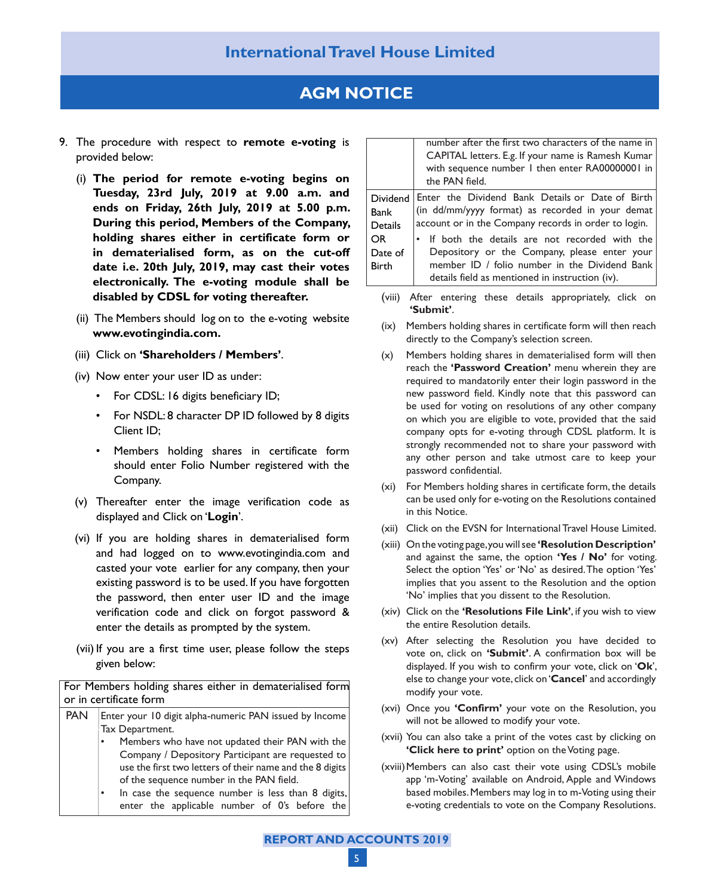## **AGM NOTICE**

- 9. The procedure with respect to **remote e-voting** is provided below:
	- (i) **The period for remote e-voting begins on Tuesday, 23rd July, 2019 at 9.00 a.m. and ends on Friday, 26th July, 2019 at 5.00 p.m. During this period, Members of the Company, holding shares either in certificate form or in dematerialised form, as on the cut-off date i.e. 20th July, 2019, may cast their votes electronically. The e-voting module shall be disabled by CDSL for voting thereafter.**
	- (ii) The Members should log on to the e-voting website **www.evotingindia.com.**
	- (iii) Click on **'Shareholders / Members'**.
	- (iv) Now enter your user ID as under:
		- For CDSL: 16 digits beneficiary ID;
		- • For NSDL: 8 character DP ID followed by 8 digits Client ID;
		- • Members holding shares in certificate form should enter Folio Number registered with the Company.
	- (v) Thereafter enter the image verification code as displayed and Click on '**Login**'.
	- (vi) If you are holding shares in dematerialised form and had logged on to www.evotingindia.com and casted your vote earlier for any company, then your existing password is to be used. If you have forgotten the password, then enter user ID and the image verification code and click on forgot password & enter the details as prompted by the system.
	- (vii) If you are a first time user, please follow the steps given below:

For Members holding shares either in dematerialised form or in certificate form

PAN | Enter your 10 digit alpha-numeric PAN issued by Income Tax Department. Members who have not updated their PAN with the Company / Depository Participant are requested to use the first two letters of their name and the 8 digits of the sequence number in the PAN field. In case the sequence number is less than 8 digits, enter the applicable number of 0's before the

|                                                               | number after the first two characters of the name in<br>CAPITAL letters. E.g. If your name is Ramesh Kumar<br>with sequence number I then enter RA00000001 in<br>the PAN field.                                                                                                                                                                                     |
|---------------------------------------------------------------|---------------------------------------------------------------------------------------------------------------------------------------------------------------------------------------------------------------------------------------------------------------------------------------------------------------------------------------------------------------------|
| Dividend<br>Bank<br>Details<br>OR.<br>Date of<br><b>Birth</b> | Enter the Dividend Bank Details or Date of Birth<br>(in dd/mm/yyyy format) as recorded in your demat<br>account or in the Company records in order to login.<br>• If both the details are not recorded with the<br>Depository or the Company, please enter your<br>member ID / folio number in the Dividend Bank<br>details field as mentioned in instruction (iv). |

- (viii) After entering these details appropriately, click on **'Submit'**.
- (ix) Members holding shares in certificate form will then reach directly to the Company's selection screen.
- (x) Members holding shares in dematerialised form will then reach the **'Password Creation'** menu wherein they are required to mandatorily enter their login password in the new password field. Kindly note that this password can be used for voting on resolutions of any other company on which you are eligible to vote, provided that the said company opts for e-voting through CDSL platform. It is strongly recommended not to share your password with any other person and take utmost care to keep your password confidential.
- (xi) For Members holding shares in certificate form, the details can be used only for e-voting on the Resolutions contained in this Notice.
- (xii) Click on the EVSN for International Travel House Limited.
- (xiii) On the voting page, you will see **'Resolution Description'** and against the same, the option **'Yes / No'** for voting. Select the option 'Yes' or 'No' as desired. The option 'Yes' implies that you assent to the Resolution and the option 'No' implies that you dissent to the Resolution.
- (xiv) Click on the **'Resolutions File Link'**, if you wish to view the entire Resolution details.
- (xv) After selecting the Resolution you have decided to vote on, click on **'Submit'**. A confirmation box will be displayed. If you wish to confirm your vote, click on '**Ok**', else to change your vote, click on '**Cancel**' and accordingly modify your vote.
- (xvi) Once you **'Confirm'** your vote on the Resolution, you will not be allowed to modify your vote.
- (xvii) You can also take a print of the votes cast by clicking on **'Click here to print'** option on the Voting page.
- (xviii)Members can also cast their vote using CDSL's mobile app 'm-Voting' available on Android, Apple and Windows based mobiles. Members may log in to m-Voting using their e-voting credentials to vote on the Company Resolutions.

**REPORT AND ACCOUNTS 2019**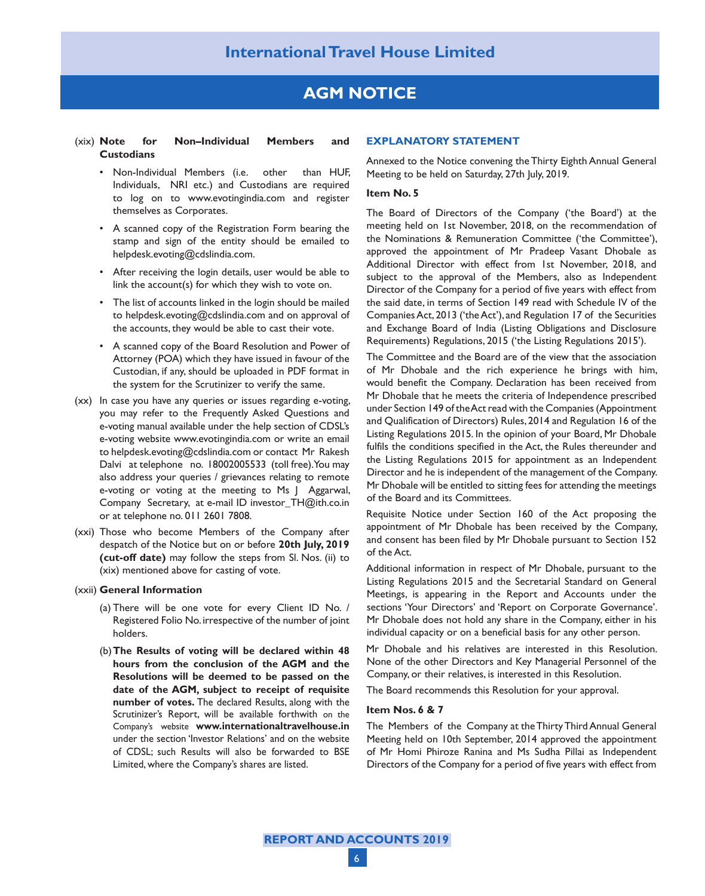## **AGM NOTICE**

#### (xix) **Note for Non–Individual Members and Custodians**

- • Non-Individual Members (i.e. other than HUF, Individuals, NRI etc.) and Custodians are required to log on to www.evotingindia.com and register themselves as Corporates.
- • A scanned copy of the Registration Form bearing the stamp and sign of the entity should be emailed to helpdesk.evoting@cdslindia.com.
- After receiving the login details, user would be able to link the account(s) for which they wish to vote on.
- The list of accounts linked in the login should be mailed to helpdesk.evoting@cdslindia.com and on approval of the accounts, they would be able to cast their vote.
- • A scanned copy of the Board Resolution and Power of Attorney (POA) which they have issued in favour of the Custodian, if any, should be uploaded in PDF format in the system for the Scrutinizer to verify the same.
- (xx) In case you have any queries or issues regarding e-voting, you may refer to the Frequently Asked Questions and e-voting manual available under the help section of CDSL's e-voting website www.evotingindia.com or write an email to helpdesk.evoting@cdslindia.com or contact Mr Rakesh Dalvi at telephone no. 18002005533 (toll free). You may also address your queries / grievances relating to remote e-voting or voting at the meeting to Ms J Aggarwal, Company Secretary, at e-mail ID investor\_TH@ith.co.in or at telephone no. 011 2601 7808.
- (xxi) Those who become Members of the Company after despatch of the Notice but on or before **20th July, 2019 (cut-off date)** may follow the steps from Sl. Nos. (ii) to (xix) mentioned above for casting of vote.

#### (xxii) **General Information**

- (a) There will be one vote for every Client ID No. / Registered Folio No. irrespective of the number of joint holders.
- (b)**The Results of voting will be declared within 48 hours from the conclusion of the AGM and the Resolutions will be deemed to be passed on the date of the AGM, subject to receipt of requisite number of votes.** The declared Results, along with the Scrutinizer's Report, will be available forthwith on the Company's website **www.internationaltravelhouse.in** under the section 'Investor Relations' and on the website of CDSL; such Results will also be forwarded to BSE Limited, where the Company's shares are listed.

#### **EXPLANATORY STATEMENT**

Annexed to the Notice convening the Thirty Eighth Annual General Meeting to be held on Saturday, 27th July, 2019.

#### **Item No. 5**

The Board of Directors of the Company ('the Board') at the meeting held on 1st November, 2018, on the recommendation of the Nominations & Remuneration Committee ('the Committee'), approved the appointment of Mr Pradeep Vasant Dhobale as Additional Director with effect from 1st November, 2018, and subject to the approval of the Members, also as Independent Director of the Company for a period of five years with effect from the said date, in terms of Section 149 read with Schedule IV of the Companies Act, 2013 ('the Act'), and Regulation 17 of the Securities and Exchange Board of India (Listing Obligations and Disclosure Requirements) Regulations, 2015 ('the Listing Regulations 2015').

The Committee and the Board are of the view that the association of Mr Dhobale and the rich experience he brings with him, would benefit the Company. Declaration has been received from Mr Dhobale that he meets the criteria of Independence prescribed under Section 149 of the Act read with the Companies (Appointment and Qualification of Directors) Rules, 2014 and Regulation 16 of the Listing Regulations 2015. In the opinion of your Board, Mr Dhobale fulfils the conditions specified in the Act, the Rules thereunder and the Listing Regulations 2015 for appointment as an Independent Director and he is independent of the management of the Company. Mr Dhobale will be entitled to sitting fees for attending the meetings of the Board and its Committees.

Requisite Notice under Section 160 of the Act proposing the appointment of Mr Dhobale has been received by the Company, and consent has been filed by Mr Dhobale pursuant to Section 152 of the Act.

Additional information in respect of Mr Dhobale, pursuant to the Listing Regulations 2015 and the Secretarial Standard on General Meetings, is appearing in the Report and Accounts under the sections 'Your Directors' and 'Report on Corporate Governance'. Mr Dhobale does not hold any share in the Company, either in his individual capacity or on a beneficial basis for any other person.

Mr Dhobale and his relatives are interested in this Resolution. None of the other Directors and Key Managerial Personnel of the Company, or their relatives, is interested in this Resolution.

The Board recommends this Resolution for your approval.

#### **Item Nos. 6 & 7**

The Members of the Company at the Thirty Third Annual General Meeting held on 10th September, 2014 approved the appointment of Mr Homi Phiroze Ranina and Ms Sudha Pillai as Independent Directors of the Company for a period of five years with effect from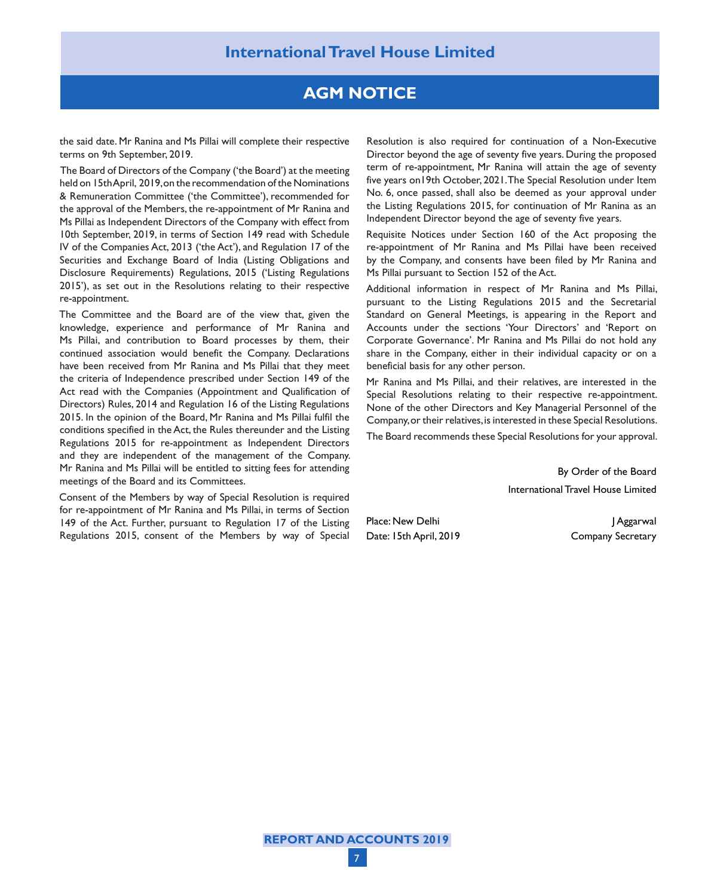## **AGM NOTICE**

the said date. Mr Ranina and Ms Pillai will complete their respective terms on 9th September, 2019.

The Board of Directors of the Company ('the Board') at the meeting held on 15th April, 2019, on the recommendation of the Nominations & Remuneration Committee ('the Committee'), recommended for the approval of the Members, the re-appointment of Mr Ranina and Ms Pillai as Independent Directors of the Company with effect from 10th September, 2019, in terms of Section 149 read with Schedule IV of the Companies Act, 2013 ('the Act'), and Regulation 17 of the Securities and Exchange Board of India (Listing Obligations and Disclosure Requirements) Regulations, 2015 ('Listing Regulations 2015'), as set out in the Resolutions relating to their respective re-appointment.

The Committee and the Board are of the view that, given the knowledge, experience and performance of Mr Ranina and Ms Pillai, and contribution to Board processes by them, their continued association would benefit the Company. Declarations have been received from Mr Ranina and Ms Pillai that they meet the criteria of Independence prescribed under Section 149 of the Act read with the Companies (Appointment and Qualification of Directors) Rules, 2014 and Regulation 16 of the Listing Regulations 2015. In the opinion of the Board, Mr Ranina and Ms Pillai fulfil the conditions specified in the Act, the Rules thereunder and the Listing Regulations 2015 for re-appointment as Independent Directors and they are independent of the management of the Company. Mr Ranina and Ms Pillai will be entitled to sitting fees for attending meetings of the Board and its Committees.

Consent of the Members by way of Special Resolution is required for re-appointment of Mr Ranina and Ms Pillai, in terms of Section 149 of the Act. Further, pursuant to Regulation 17 of the Listing Regulations 2015, consent of the Members by way of Special Resolution is also required for continuation of a Non-Executive Director beyond the age of seventy five years. During the proposed term of re-appointment, Mr Ranina will attain the age of seventy five years on19th October, 2021. The Special Resolution under Item No. 6, once passed, shall also be deemed as your approval under the Listing Regulations 2015, for continuation of Mr Ranina as an Independent Director beyond the age of seventy five years.

Requisite Notices under Section 160 of the Act proposing the re-appointment of Mr Ranina and Ms Pillai have been received by the Company, and consents have been filed by Mr Ranina and Ms Pillai pursuant to Section 152 of the Act.

Additional information in respect of Mr Ranina and Ms Pillai, pursuant to the Listing Regulations 2015 and the Secretarial Standard on General Meetings, is appearing in the Report and Accounts under the sections 'Your Directors' and 'Report on Corporate Governance'. Mr Ranina and Ms Pillai do not hold any share in the Company, either in their individual capacity or on a beneficial basis for any other person.

Mr Ranina and Ms Pillai, and their relatives, are interested in the Special Resolutions relating to their respective re-appointment. None of the other Directors and Key Managerial Personnel of the Company, or their relatives, is interested in these Special Resolutions.

The Board recommends these Special Resolutions for your approval.

By Order of the Board International Travel House Limited

Place: New Delhi J Aggarwal Date: 15th April, 2019 Company Secretary